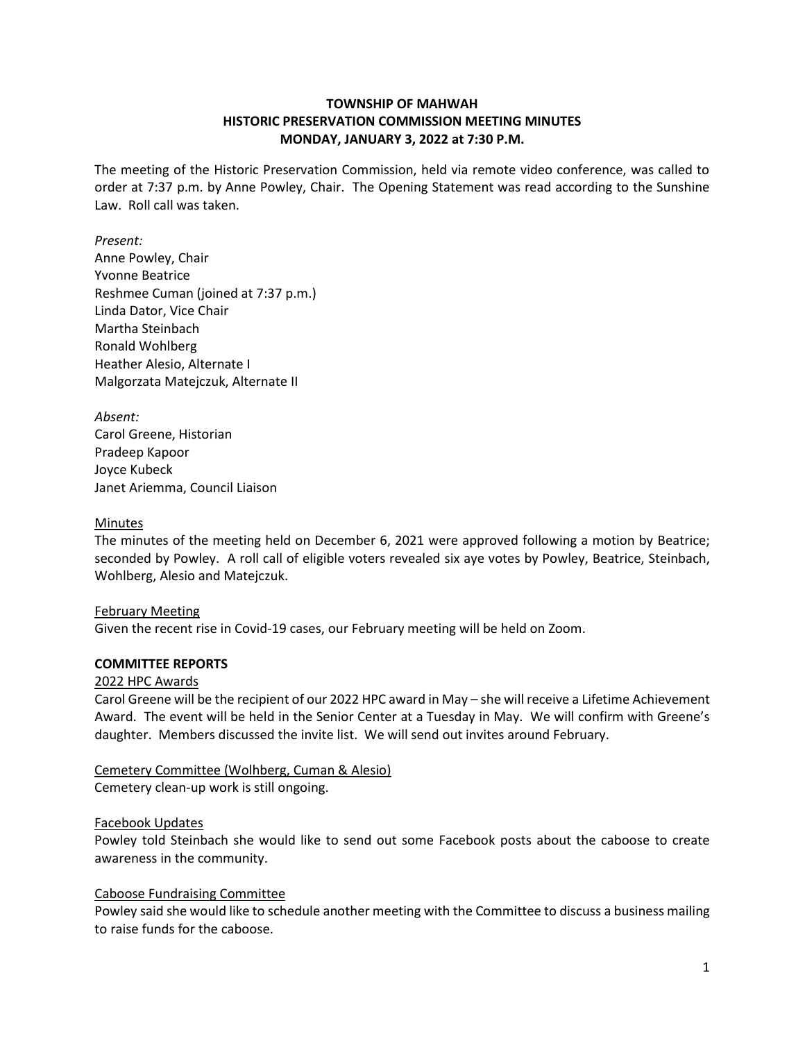# **TOWNSHIP OF MAHWAH HISTORIC PRESERVATION COMMISSION MEETING MINUTES MONDAY, JANUARY 3, 2022 at 7:30 P.M.**

The meeting of the Historic Preservation Commission, held via remote video conference, was called to order at 7:37 p.m. by Anne Powley, Chair. The Opening Statement was read according to the Sunshine Law. Roll call was taken.

### *Present:*

Anne Powley, Chair Yvonne Beatrice Reshmee Cuman (joined at 7:37 p.m.) Linda Dator, Vice Chair Martha Steinbach Ronald Wohlberg Heather Alesio, Alternate I Malgorzata Matejczuk, Alternate II

*Absent:* Carol Greene, Historian Pradeep Kapoor Joyce Kubeck Janet Ariemma, Council Liaison

### Minutes

The minutes of the meeting held on December 6, 2021 were approved following a motion by Beatrice; seconded by Powley. A roll call of eligible voters revealed six aye votes by Powley, Beatrice, Steinbach, Wohlberg, Alesio and Matejczuk.

#### February Meeting

Given the recent rise in Covid-19 cases, our February meeting will be held on Zoom.

#### **COMMITTEE REPORTS**

#### 2022 HPC Awards

Carol Greene will be the recipient of our 2022 HPC award in May – she will receive a Lifetime Achievement Award. The event will be held in the Senior Center at a Tuesday in May. We will confirm with Greene's daughter. Members discussed the invite list. We will send out invites around February.

# Cemetery Committee (Wolhberg, Cuman & Alesio) Cemetery clean-up work is still ongoing.

#### Facebook Updates

Powley told Steinbach she would like to send out some Facebook posts about the caboose to create awareness in the community.

#### Caboose Fundraising Committee

Powley said she would like to schedule another meeting with the Committee to discuss a business mailing to raise funds for the caboose.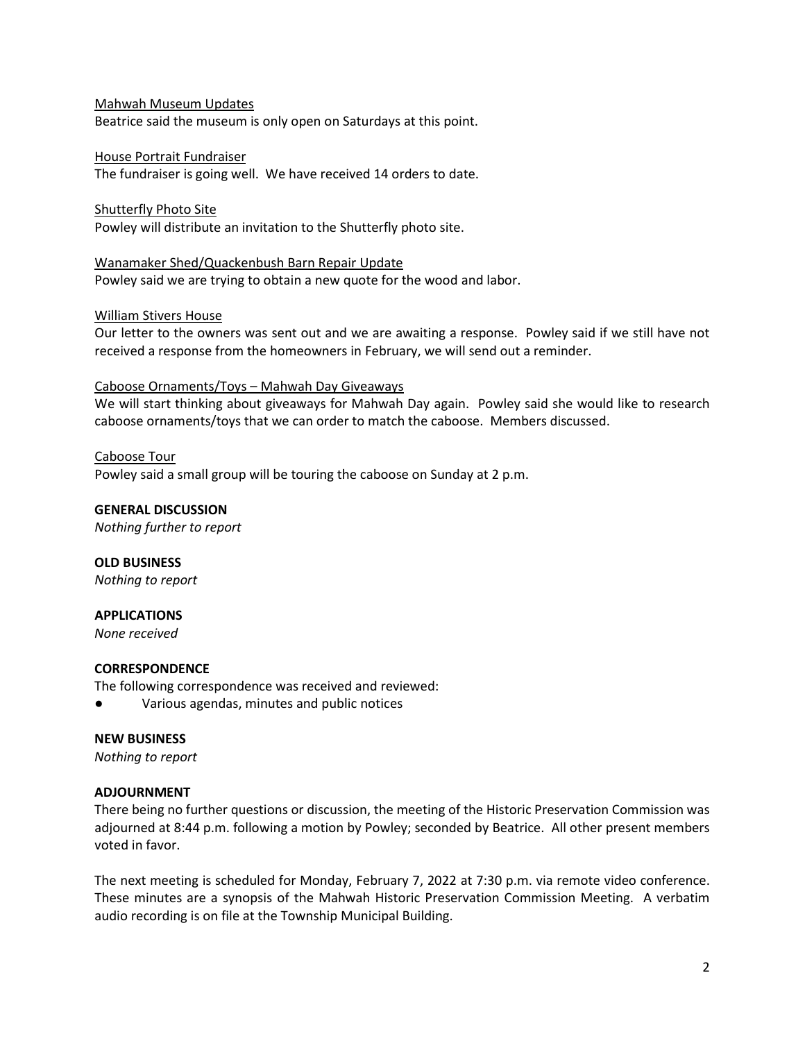### Mahwah Museum Updates

Beatrice said the museum is only open on Saturdays at this point.

### House Portrait Fundraiser

The fundraiser is going well. We have received 14 orders to date.

### Shutterfly Photo Site

Powley will distribute an invitation to the Shutterfly photo site.

Wanamaker Shed/Quackenbush Barn Repair Update Powley said we are trying to obtain a new quote for the wood and labor.

### William Stivers House

Our letter to the owners was sent out and we are awaiting a response. Powley said if we still have not received a response from the homeowners in February, we will send out a reminder.

### Caboose Ornaments/Toys – Mahwah Day Giveaways

We will start thinking about giveaways for Mahwah Day again. Powley said she would like to research caboose ornaments/toys that we can order to match the caboose. Members discussed.

### Caboose Tour

Powley said a small group will be touring the caboose on Sunday at 2 p.m.

**GENERAL DISCUSSION** *Nothing further to report*

**OLD BUSINESS** *Nothing to report*

# **APPLICATIONS**

*None received*

# **CORRESPONDENCE**

The following correspondence was received and reviewed:

Various agendas, minutes and public notices

#### **NEW BUSINESS**

*Nothing to report*

# **ADJOURNMENT**

There being no further questions or discussion, the meeting of the Historic Preservation Commission was adjourned at 8:44 p.m. following a motion by Powley; seconded by Beatrice. All other present members voted in favor.

The next meeting is scheduled for Monday, February 7, 2022 at 7:30 p.m. via remote video conference. These minutes are a synopsis of the Mahwah Historic Preservation Commission Meeting. A verbatim audio recording is on file at the Township Municipal Building.